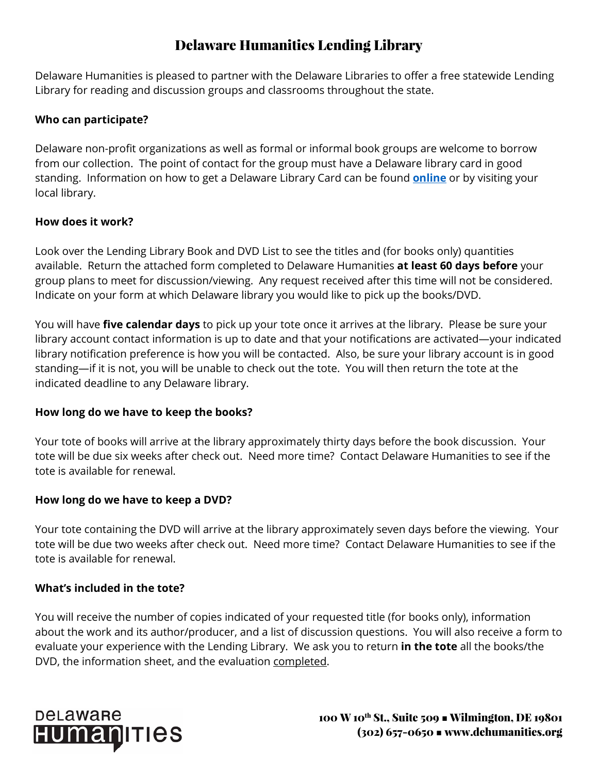## Delaware Humanities Lending Library

Delaware Humanities is pleased to partner with the Delaware Libraries to offer a free statewide Lending Library for reading and discussion groups and classrooms throughout the state.

#### **Who can participate?**

Delaware non-profit organizations as well as formal or informal book groups are welcome to borrow from our collection. The point of contact for the group must have a Delaware library card in good standing. Information on how to get a Delaware Library Card can be found **[online](http://lib.de.us/help/librarycard/)** or by visiting your local library.

#### **How does it work?**

Look over the Lending Library Book and DVD List to see the titles and (for books only) quantities available. Return the attached form completed to Delaware Humanities **at least 60 days before** your group plans to meet for discussion/viewing. Any request received after this time will not be considered. Indicate on your form at which Delaware library you would like to pick up the books/DVD.

You will have **five calendar days** to pick up your tote once it arrives at the library. Please be sure your library account contact information is up to date and that your notifications are activated—your indicated library notification preference is how you will be contacted. Also, be sure your library account is in good standing—if it is not, you will be unable to check out the tote. You will then return the tote at the indicated deadline to any Delaware library.

#### **How long do we have to keep the books?**

Your tote of books will arrive at the library approximately thirty days before the book discussion. Your tote will be due six weeks after check out. Need more time? Contact Delaware Humanities to see if the tote is available for renewal.

### **How long do we have to keep a DVD?**

Your tote containing the DVD will arrive at the library approximately seven days before the viewing. Your tote will be due two weeks after check out. Need more time? Contact Delaware Humanities to see if the tote is available for renewal.

#### **What's included in the tote?**

You will receive the number of copies indicated of your requested title (for books only), information about the work and its author/producer, and a list of discussion questions. You will also receive a form to evaluate your experience with the Lending Library. We ask you to return **in the tote** all the books/the DVD, the information sheet, and the evaluation completed.

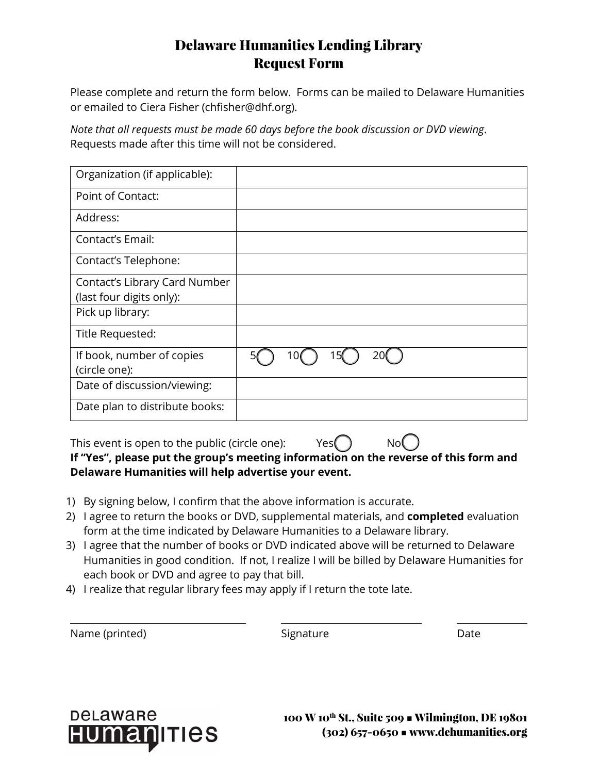## Delaware Humanities Lending Library Request Form

Please complete and return the form below. Forms can be mailed to Delaware Humanities or emailed to Ciera Fisher (chfisher@dhf.org).

*Note that all requests must be made 60 days before the book discussion or DVD viewing*. Requests made after this time will not be considered.

| Organization (if applicable):  |  |
|--------------------------------|--|
| Point of Contact:              |  |
| Address:                       |  |
| Contact's Email:               |  |
| Contact's Telephone:           |  |
| Contact's Library Card Number  |  |
| (last four digits only):       |  |
| Pick up library:               |  |
| Title Requested:               |  |
| If book, number of copies      |  |
| (circle one):                  |  |
| Date of discussion/viewing:    |  |
| Date plan to distribute books: |  |

This event is open to the public (circle one):  $Yes()$  No **If "Yes", please put the group's meeting information on the reverse of this form and Delaware Humanities will help advertise your event.**

- 1) By signing below, I confirm that the above information is accurate.
- 2) I agree to return the books or DVD, supplemental materials, and **completed** evaluation form at the time indicated by Delaware Humanities to a Delaware library.
- 3) I agree that the number of books or DVD indicated above will be returned to Delaware Humanities in good condition. If not, I realize I will be billed by Delaware Humanities for each book or DVD and agree to pay that bill.
- 4) I realize that regular library fees may apply if I return the tote late.

 $\overline{a}$ 

Signature Date



100 W 10th St., Suite 509 ■ Wilmington, DE 19801 (302) 657-0650 ■ www.dehumanities.org